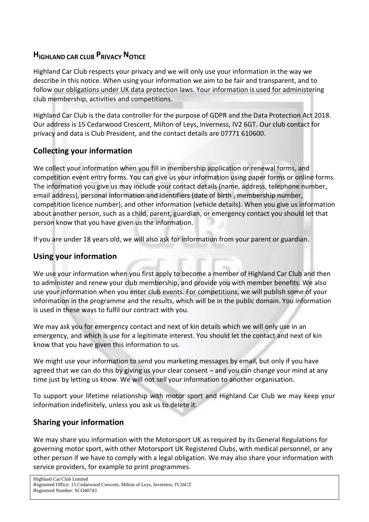# **HIGHLAND CAR CLUB PRIVACY NOTICE**

Highland Car Club respects your privacy and we will only use your information in the way we describe in this notice. When using your information we aim to be fair and transparent, and to follow our obligations under UK data protection laws. Your information is used for administering club membership, activities and competitions.

Highland Car Club is the data controller for the purpose of GDPR and the Data Protection Act 2018. Our address is 15 Cedarwood Crescent, Milton of Leys, Inverness, IV2 6GT. Our club contact for privacy and data is Club President, and the contact details are 07771 610600.

## **Collecting your information**

We collect your information when you fill in membership application or renewal forms, and competition event entry forms. You can give us your information using paper forms or online forms. The information you give us may include your contact details (name, address, telephone number, email address), personal information and identifiers (date of birth , membership number, competition licence number), and other information (vehicle details). When you give us information about another person, such as a child, parent, guardian, or emergency contact you should let that person know that you have given us the information.

If you are under 18 years old, we will also ask for information from your parent or guardian.

## **Using your information**

We use your information when you first apply to become a member of Highland Car Club and then to administer and renew your club membership, and provide you with member benefits. We also use your information when you enter club events. For competitions, we will publish some of your information in the programme and the results, which will be in the public domain. You information is used in these ways to fulfil our contract with you.

We may ask you for emergency contact and next of kin details which we will only use in an emergency, and which is use for a legitimate interest. You should let the contact and next of kin know that you have given this information to us.

We might use your information to send you marketing messages by email, but only if you have agreed that we can do this by giving us your clear consent – and you can change your mind at any time just by letting us know. We will not sell your information to another organisation.

To support your lifetime relationship with motor sport and Highland Car Club we may keep your information indefinitely, unless you ask us to delete it.

## **Sharing your information**

We may share you information with the Motorsport UK as required by its General Regulations for governing motor sport, with other Motorsport UK Registered Clubs, with medical personnel, or any other person if we have to comply with a legal obligation. We may also share your information with service providers, for example to print programmes.